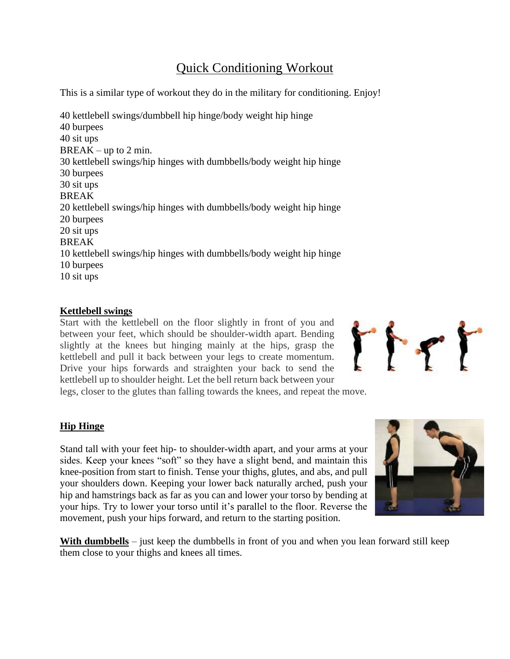## Quick Conditioning Workout

This is a similar type of workout they do in the military for conditioning. Enjoy!

40 kettlebell swings/dumbbell hip hinge/body weight hip hinge 40 burpees 40 sit ups  $BREAK - up to 2 min.$ 30 kettlebell swings/hip hinges with dumbbells/body weight hip hinge 30 burpees 30 sit ups BREAK 20 kettlebell swings/hip hinges with dumbbells/body weight hip hinge 20 burpees 20 sit ups BREAK 10 kettlebell swings/hip hinges with dumbbells/body weight hip hinge 10 burpees 10 sit ups

## **Kettlebell swings**

Start with the kettlebell on the floor slightly in front of you and between your feet, which should be shoulder-width apart. Bending slightly at the knees but hinging mainly at the hips, grasp the kettlebell and pull it back between your legs to create momentum. Drive your hips forwards and straighten your back to send the kettlebell up to shoulder height. Let the bell return back between your legs, closer to the glutes than falling towards the knees, and repeat the move.



## **Hip Hinge**

Stand tall with your feet hip- to shoulder-width apart, and your arms at your sides. Keep your knees "soft" so they have a slight bend, and maintain this knee-position from start to finish. Tense your thighs, glutes, and abs, and pull your shoulders down. Keeping your lower back naturally arched, push your hip and hamstrings back as far as you can and lower your torso by bending at your hips. Try to lower your torso until it's parallel to the floor. Reverse the movement, push your hips forward, and return to the starting position.



**With dumbbells** – just keep the dumbbells in front of you and when you lean forward still keep them close to your thighs and knees all times.